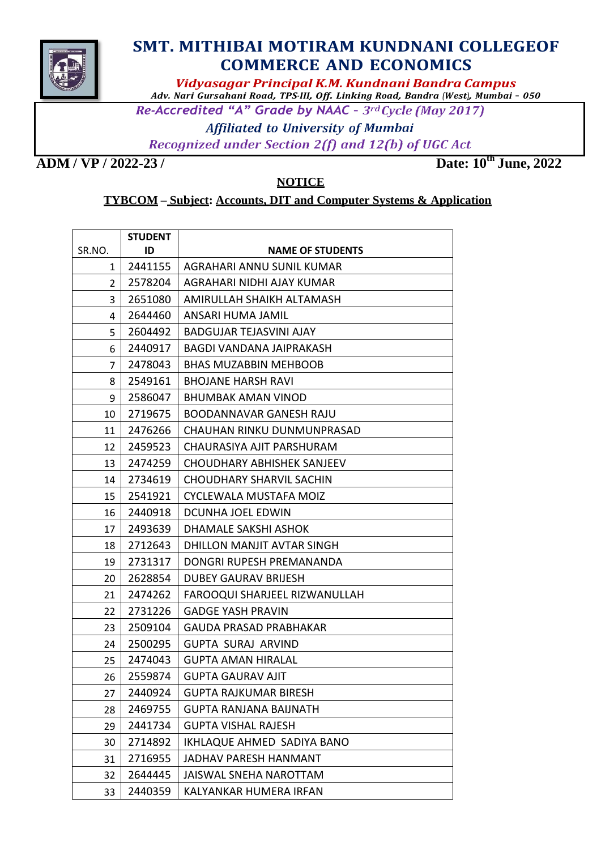

## **SMT. MITHIBAI MOTIRAM KUNDNANI COLLEGEOF COMMERCE AND ECONOMICS**

*Vidyasagar Principal K.M. Kundnani Bandra Campus*

*Adv. Nari Gursahani Road, TPS-III, Off. Linking Road, Bandra (West), Mumbai – 050*

Re-Accredited "A" Grade by NAAC - 3rd Cycle (May 2017)

**Affiliated to University of Mumbai** 

Recognized under Section 2(f) and 12(b) of UGC Act

**ADM / VP / 2022-23 / Date: 10**

**th June, 2022**

**NOTICE**

## **TYBCOM – Subject: Accounts, DIT and Computer Systems & Application**

|                | <b>STUDENT</b> |                                |  |
|----------------|----------------|--------------------------------|--|
| SR.NO.         | ID             | <b>NAME OF STUDENTS</b>        |  |
| 1              | 2441155        | AGRAHARI ANNU SUNIL KUMAR      |  |
| $\overline{2}$ | 2578204        | AGRAHARI NIDHI AJAY KUMAR      |  |
| 3              | 2651080        | AMIRULLAH SHAIKH ALTAMASH      |  |
| 4              | 2644460        | ANSARI HUMA JAMIL              |  |
| 5              | 2604492        | <b>BADGUJAR TEJASVINI AJAY</b> |  |
| 6              | 2440917        | BAGDI VANDANA JAIPRAKASH       |  |
| 7              | 2478043        | <b>BHAS MUZABBIN MEHBOOB</b>   |  |
| 8              | 2549161        | <b>BHOJANE HARSH RAVI</b>      |  |
| 9              | 2586047        | BHUMBAK AMAN VINOD             |  |
| 10             | 2719675        | BOODANNAVAR GANESH RAJU        |  |
| 11             | 2476266        | CHAUHAN RINKU DUNMUNPRASAD     |  |
| 12             | 2459523        | CHAURASIYA AJIT PARSHURAM      |  |
| 13             | 2474259        | CHOUDHARY ABHISHEK SANJEEV     |  |
| 14             | 2734619        | CHOUDHARY SHARVIL SACHIN       |  |
| 15             | 2541921        | CYCLEWALA MUSTAFA MOIZ         |  |
| 16             | 2440918        | DCUNHA JOEL EDWIN              |  |
| 17             | 2493639        | DHAMALE SAKSHI ASHOK           |  |
| 18             | 2712643        | DHILLON MANJIT AVTAR SINGH     |  |
| 19             | 2731317        | DONGRI RUPESH PREMANANDA       |  |
| 20             | 2628854        | <b>DUBEY GAURAV BRIJESH</b>    |  |
| 21             | 2474262        | FAROOQUI SHARJEEL RIZWANULLAH  |  |
| 22             | 2731226        | <b>GADGE YASH PRAVIN</b>       |  |
| 23             | 2509104        | <b>GAUDA PRASAD PRABHAKAR</b>  |  |
| 24             | 2500295        | GUPTA SURAJ ARVIND             |  |
| 25             | 2474043        | <b>GUPTA AMAN HIRALAL</b>      |  |
| 26             | 2559874        | <b>GUPTA GAURAV AJIT</b>       |  |
| 27             | 2440924        | <b>GUPTA RAJKUMAR BIRESH</b>   |  |
| 28             | 2469755        | GUPTA RANJANA BAIJNATH         |  |
| 29             | 2441734        | <b>GUPTA VISHAL RAJESH</b>     |  |
| 30             | 2714892        | IKHLAQUE AHMED SADIYA BANO     |  |
| 31             | 2716955        | <b>JADHAV PARESH HANMANT</b>   |  |
| 32             | 2644445        | JAISWAL SNEHA NAROTTAM         |  |
| 33             | 2440359        | KALYANKAR HUMERA IRFAN         |  |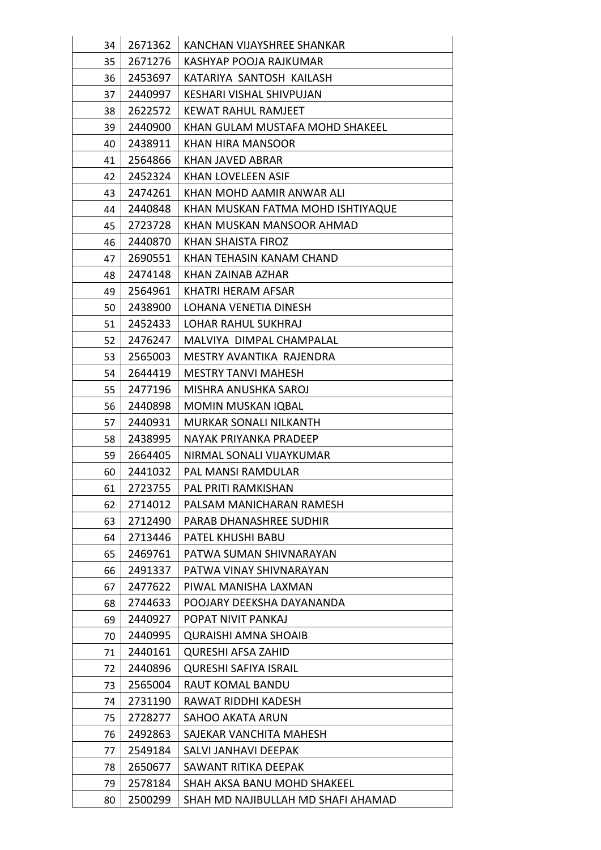| 34 | 2671362 | KANCHAN VIJAYSHREE SHANKAR         |  |
|----|---------|------------------------------------|--|
| 35 | 2671276 | KASHYAP POOJA RAJKUMAR             |  |
| 36 | 2453697 | KATARIYA SANTOSH KAILASH           |  |
| 37 | 2440997 | <b>KESHARI VISHAL SHIVPUJAN</b>    |  |
| 38 | 2622572 | <b>KEWAT RAHUL RAMJEET</b>         |  |
| 39 | 2440900 | KHAN GULAM MUSTAFA MOHD SHAKEEL    |  |
| 40 | 2438911 | <b>KHAN HIRA MANSOOR</b>           |  |
| 41 | 2564866 | KHAN JAVED ABRAR                   |  |
| 42 | 2452324 | KHAN LOVELEEN ASIF                 |  |
| 43 | 2474261 | KHAN MOHD AAMIR ANWAR ALI          |  |
| 44 | 2440848 | KHAN MUSKAN FATMA MOHD ISHTIYAQUE  |  |
| 45 | 2723728 | KHAN MUSKAN MANSOOR AHMAD          |  |
| 46 | 2440870 | KHAN SHAISTA FIROZ                 |  |
| 47 | 2690551 | KHAN TEHASIN KANAM CHAND           |  |
| 48 | 2474148 | KHAN ZAINAB AZHAR                  |  |
| 49 | 2564961 | KHATRI HERAM AFSAR                 |  |
| 50 | 2438900 | LOHANA VENETIA DINESH              |  |
| 51 | 2452433 | <b>LOHAR RAHUL SUKHRAJ</b>         |  |
| 52 | 2476247 | MALVIYA DIMPAL CHAMPALAL           |  |
| 53 | 2565003 | MESTRY AVANTIKA RAJENDRA           |  |
| 54 | 2644419 | <b>MESTRY TANVI MAHESH</b>         |  |
| 55 | 2477196 | MISHRA ANUSHKA SAROJ               |  |
| 56 | 2440898 | <b>MOMIN MUSKAN IQBAL</b>          |  |
| 57 | 2440931 | <b>MURKAR SONALI NILKANTH</b>      |  |
| 58 | 2438995 | NAYAK PRIYANKA PRADEEP             |  |
| 59 | 2664405 | NIRMAL SONALI VIJAYKUMAR           |  |
| 60 | 2441032 | PAL MANSI RAMDULAR                 |  |
| 61 | 2723755 | PAL PRITI RAMKISHAN                |  |
| 62 | 2714012 | PALSAM MANICHARAN RAMESH           |  |
| 63 | 2712490 | PARAB DHANASHREE SUDHIR            |  |
| 64 | 2713446 | PATEL KHUSHI BABU                  |  |
| 65 | 2469761 | PATWA SUMAN SHIVNARAYAN            |  |
| 66 | 2491337 | PATWA VINAY SHIVNARAYAN            |  |
| 67 | 2477622 | PIWAL MANISHA LAXMAN               |  |
| 68 | 2744633 | POOJARY DEEKSHA DAYANANDA          |  |
| 69 | 2440927 | POPAT NIVIT PANKAJ                 |  |
| 70 | 2440995 | <b>QURAISHI AMNA SHOAIB</b>        |  |
| 71 | 2440161 | <b>QURESHI AFSA ZAHID</b>          |  |
| 72 | 2440896 | <b>QURESHI SAFIYA ISRAIL</b>       |  |
| 73 | 2565004 | RAUT KOMAL BANDU                   |  |
| 74 | 2731190 | RAWAT RIDDHI KADESH                |  |
| 75 | 2728277 | <b>SAHOO AKATA ARUN</b>            |  |
| 76 | 2492863 | SAJEKAR VANCHITA MAHESH            |  |
| 77 | 2549184 | SALVI JANHAVI DEEPAK               |  |
| 78 | 2650677 | SAWANT RITIKA DEEPAK               |  |
| 79 | 2578184 | SHAH AKSA BANU MOHD SHAKEEL        |  |
| 80 | 2500299 | SHAH MD NAJIBULLAH MD SHAFI AHAMAD |  |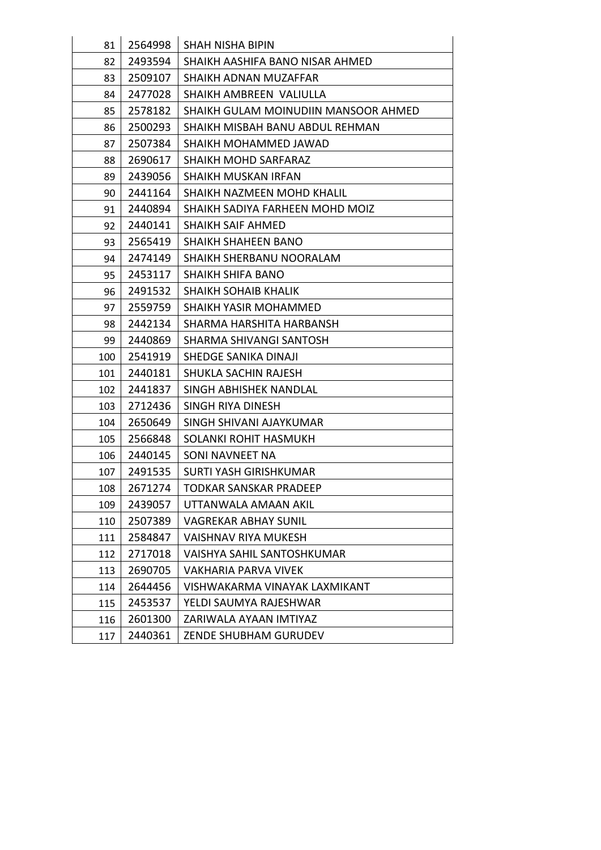| 81  | 2564998 | <b>SHAH NISHA BIPIN</b>              |  |
|-----|---------|--------------------------------------|--|
| 82  | 2493594 | SHAIKH AASHIFA BANO NISAR AHMED      |  |
| 83  | 2509107 | SHAIKH ADNAN MUZAFFAR                |  |
| 84  | 2477028 | SHAIKH AMBREEN VALIULLA              |  |
| 85  | 2578182 | SHAIKH GULAM MOINUDIIN MANSOOR AHMED |  |
| 86  | 2500293 | SHAIKH MISBAH BANU ABDUL REHMAN      |  |
| 87  | 2507384 | SHAIKH MOHAMMED JAWAD                |  |
| 88  | 2690617 | SHAIKH MOHD SARFARAZ                 |  |
| 89  | 2439056 | <b>SHAIKH MUSKAN IRFAN</b>           |  |
| 90  | 2441164 | SHAIKH NAZMEEN MOHD KHALIL           |  |
| 91  | 2440894 | SHAIKH SADIYA FARHEEN MOHD MOIZ      |  |
| 92  | 2440141 | <b>SHAIKH SAIF AHMED</b>             |  |
| 93  | 2565419 | SHAIKH SHAHEEN BANO                  |  |
| 94  | 2474149 | SHAIKH SHERBANU NOORALAM             |  |
| 95  | 2453117 | <b>SHAIKH SHIFA BANO</b>             |  |
| 96  | 2491532 | <b>SHAIKH SOHAIB KHALIK</b>          |  |
| 97  | 2559759 | SHAIKH YASIR MOHAMMED                |  |
| 98  | 2442134 | SHARMA HARSHITA HARBANSH             |  |
| 99  | 2440869 | SHARMA SHIVANGI SANTOSH              |  |
| 100 | 2541919 | SHEDGE SANIKA DINAJI                 |  |
| 101 | 2440181 | SHUKLA SACHIN RAJESH                 |  |
| 102 | 2441837 | SINGH ABHISHEK NANDLAL               |  |
| 103 | 2712436 | SINGH RIYA DINESH                    |  |
| 104 | 2650649 | SINGH SHIVANI AJAYKUMAR              |  |
| 105 | 2566848 | SOLANKI ROHIT HASMUKH                |  |
| 106 | 2440145 | SONI NAVNEET NA                      |  |
| 107 | 2491535 | <b>SURTI YASH GIRISHKUMAR</b>        |  |
| 108 | 2671274 | <b>TODKAR SANSKAR PRADEEP</b>        |  |
| 109 | 2439057 | UTTANWALA AMAAN AKIL                 |  |
| 110 | 2507389 | <b>VAGREKAR ABHAY SUNIL</b>          |  |
| 111 | 2584847 | VAISHNAV RIYA MUKESH                 |  |
| 112 | 2717018 | <b>VAISHYA SAHIL SANTOSHKUMAR</b>    |  |
| 113 | 2690705 | VAKHARIA PARVA VIVEK                 |  |
| 114 | 2644456 | VISHWAKARMA VINAYAK LAXMIKANT        |  |
| 115 | 2453537 | YELDI SAUMYA RAJESHWAR               |  |
| 116 | 2601300 | ZARIWALA AYAAN IMTIYAZ               |  |
| 117 | 2440361 | ZENDE SHUBHAM GURUDEV                |  |